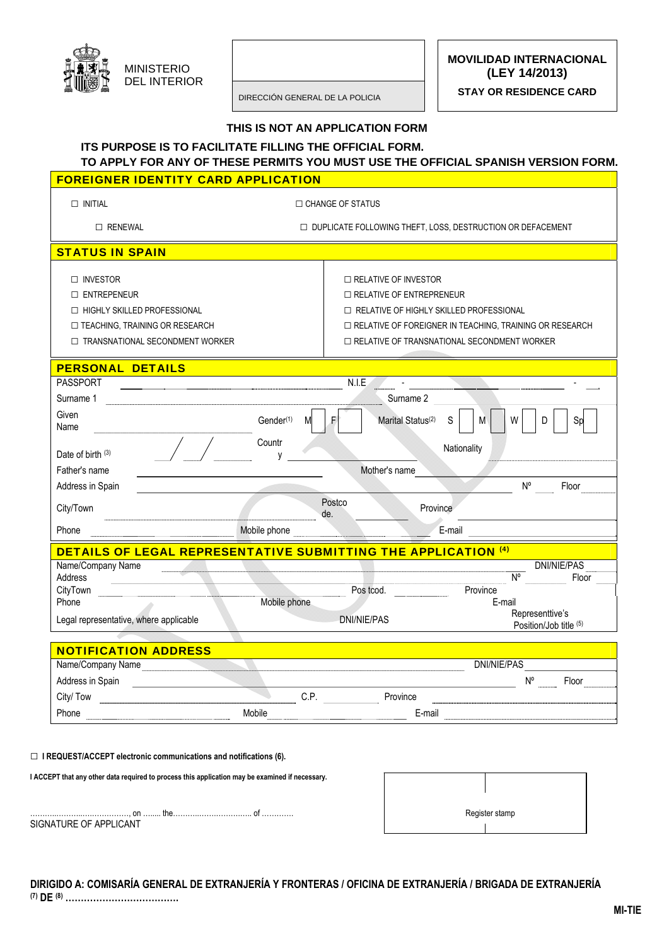

**MOVILIDAD INTERNACIONAL (LEY 14/2013)** 

**STAY OR RESIDENCE CARD** 

DIRECCIÓN GENERAL DE LA POLICIA

#### **THIS IS NOT AN APPLICATION FORM**

# **ITS PURPOSE IS TO FACILITATE FILLING THE OFFICIAL FORM.**

# **TO APPLY FOR ANY OF THESE PERMITS YOU MUST USE THE OFFICIAL SPANISH VERSION FORM.**

### **FOREIGNER IDENTITY CARD APPLICATION**

| $\Box$ INITIAL                                                                                                                                | □ CHANGE OF STATUS                                           |                                                                                                                                                                                                                                |                                           |  |
|-----------------------------------------------------------------------------------------------------------------------------------------------|--------------------------------------------------------------|--------------------------------------------------------------------------------------------------------------------------------------------------------------------------------------------------------------------------------|-------------------------------------------|--|
| $\Box$ RENEWAL                                                                                                                                | □ DUPLICATE FOLLOWING THEFT, LOSS, DESTRUCTION OR DEFACEMENT |                                                                                                                                                                                                                                |                                           |  |
| <b>STATUS IN SPAIN</b>                                                                                                                        |                                                              |                                                                                                                                                                                                                                |                                           |  |
| □ INVESTOR<br>$\Box$ ENTREPENEUR<br>□ HIGHLY SKILLED PROFESSIONAL<br>$\Box$ TEACHING, TRAINING OR RESEARCH<br>TRANSNATIONAL SECONDMENT WORKER |                                                              | $\Box$ RELATIVE OF INVESTOR<br>$\Box$ RELATIVE OF ENTREPRENEUR<br>□ RELATIVE OF HIGHLY SKILLED PROFESSIONAL<br>□ RELATIVE OF FOREIGNER IN TEACHING, TRAINING OR RESEARCH<br>$\Box$ RELATIVE OF TRANSNATIONAL SECONDMENT WORKER |                                           |  |
| <b>PERSONAL DETAILS</b>                                                                                                                       |                                                              |                                                                                                                                                                                                                                |                                           |  |
| <b>PASSPORT</b><br>Surname 1                                                                                                                  |                                                              | N.I.E<br>Surname 2                                                                                                                                                                                                             |                                           |  |
| Given<br>Name                                                                                                                                 | Gender <sup>(1)</sup><br>M                                   | Marital Status <sup>(2)</sup><br>S<br>F<br>M                                                                                                                                                                                   | W<br>Sp<br>D                              |  |
| Date of birth $(3)$                                                                                                                           | Countr<br>٧                                                  | Nationality                                                                                                                                                                                                                    |                                           |  |
| Father's name                                                                                                                                 |                                                              | Mother's name                                                                                                                                                                                                                  |                                           |  |
| Address in Spain                                                                                                                              |                                                              |                                                                                                                                                                                                                                | $N^{\circ}$<br>Floor                      |  |
| City/Town                                                                                                                                     |                                                              | Postco<br>Province<br>de.                                                                                                                                                                                                      |                                           |  |
| Phone                                                                                                                                         | Mobile phone                                                 | E-mail                                                                                                                                                                                                                         |                                           |  |
| <b>DETAILS OF LEGAL REPRESENTATIVE SUBMITTING THE APPLICATION (4)</b><br>Name/Company Name<br>Address                                         |                                                              |                                                                                                                                                                                                                                | <b>DNI/NIE/PAS</b><br>N°<br>Floor         |  |
| CityTown                                                                                                                                      |                                                              | Pos tcod.<br>Province                                                                                                                                                                                                          |                                           |  |
| Phone<br>Legal representative, where applicable                                                                                               | Mobile phone                                                 | E-mail<br><b>DNI/NIE/PAS</b>                                                                                                                                                                                                   | Representtive's<br>Position/Job title (5) |  |

| <b>NOTIFICATION ADDRESS</b> |        |     |          |             |       |
|-----------------------------|--------|-----|----------|-------------|-------|
| Name/Company Name           |        |     |          | DNI/NIE/PAS |       |
| Address in Spain            |        |     |          | N٥          | Floor |
| City/Tow                    |        | C.P | Province |             |       |
| Phone                       | Mobile |     | E-mail   |             |       |

#### **□ I REQUEST/ACCEPT electronic communications and notifications (6).**

**I ACCEPT that any other data required to process this application may be examined if necessary.** 

………..………..….……………, on …..... the………..…….……….….. of …………. Register stamp SIGNATURE OF APPLICANT

| Register stamp |  |
|----------------|--|

### **DIRIGIDO A: COMISARÍA GENERAL DE EXTRANJERÍA Y FRONTERAS / OFICINA DE EXTRANJERÍA / BRIGADA DE EXTRANJERÍA (7) DE (8) ……………………………….**